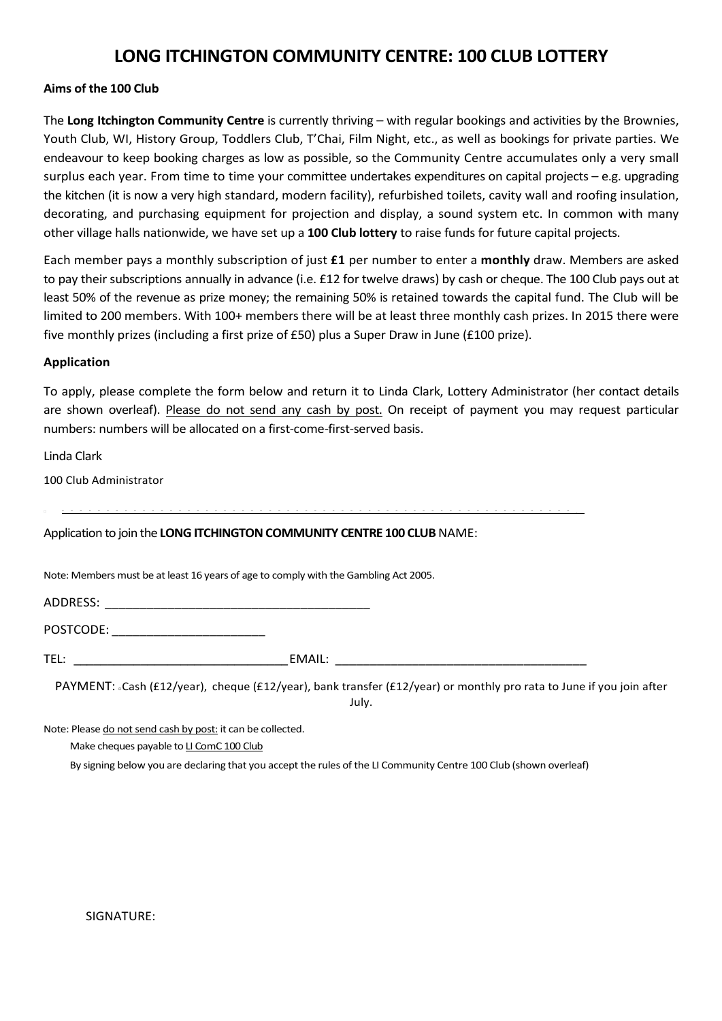## LONG ITCHINGTON COMMUNITY CENTRE: 100 CLUB LOTTERY

## Aims of the 100 Club

The Long Itchington Community Centre is currently thriving – with regular bookings and activities by the Brownies, Youth Club, WI, History Group, Toddlers Club, T'Chai, Film Night, etc., as well as bookings for private parties. We endeavour to keep booking charges as low as possible, so the Community Centre accumulates only a very small surplus each year. From time to time your committee undertakes expenditures on capital projects – e.g. upgrading the kitchen (it is now a very high standard, modern facility), refurbished toilets, cavity wall and roofing insulation, decorating, and purchasing equipment for projection and display, a sound system etc. In common with many other village halls nationwide, we have set up a 100 Club lottery to raise funds for future capital projects.

Each member pays a monthly subscription of just £1 per number to enter a monthly draw. Members are asked to pay their subscriptions annually in advance (i.e. £12 for twelve draws) by cash or cheque. The 100 Club pays out at least 50% of the revenue as prize money; the remaining 50% is retained towards the capital fund. The Club will be limited to 200 members. With 100+ members there will be at least three monthly cash prizes. In 2015 there were five monthly prizes (including a first prize of £50) plus a Super Draw in June (£100 prize).

## Application

To apply, please complete the form below and return it to Linda Clark, Lottery Administrator (her contact details are shown overleaf). Please do not send any cash by post. On receipt of payment you may request particular numbers: numbers will be allocated on a first-come-first-served basis.

Linda Clark

100 Club Administrator

~ ~ ~ ~ ~ ~ ~ ~ ~ ~ ~ ~ ~ ~ ~ ~ ~ ~ ~ ~ ~ ~ ~ ~ ~ ~ ~ ~ ~ ~ ~ ~ ~ ~ ~ ~ ~ ~ ~ ~ ~ ~ ~ ~ ~ ~ ~ ~ ~ ~ ~ ~ ~ ~ ~ ~ ~ .

Application to join the LONG ITCHINGTON COMMUNITY CENTRE 100 CLUB NAME:

Note: Members must be at least 16 years of age to comply with the Gambling Act 2005.

ADDRESS: \_\_\_\_\_\_\_\_\_\_\_\_\_\_\_\_\_\_\_\_\_\_\_\_\_\_\_\_\_\_\_\_\_\_\_\_\_\_

POSTCODE: \_\_\_\_\_\_\_\_\_\_\_\_\_\_\_\_\_\_\_\_\_\_

TEL: EMAIL:

PAYMENT: Cash (£12/year), cheque (£12/year), bank transfer (£12/year) or monthly pro rata to June if you join after July.

Note: Please do not send cash by post: it can be collected.

Make cheques payable to LI ComC 100 Club

By signing below you are declaring that you accept the rules of the LI Community Centre 100 Club (shown overleaf)